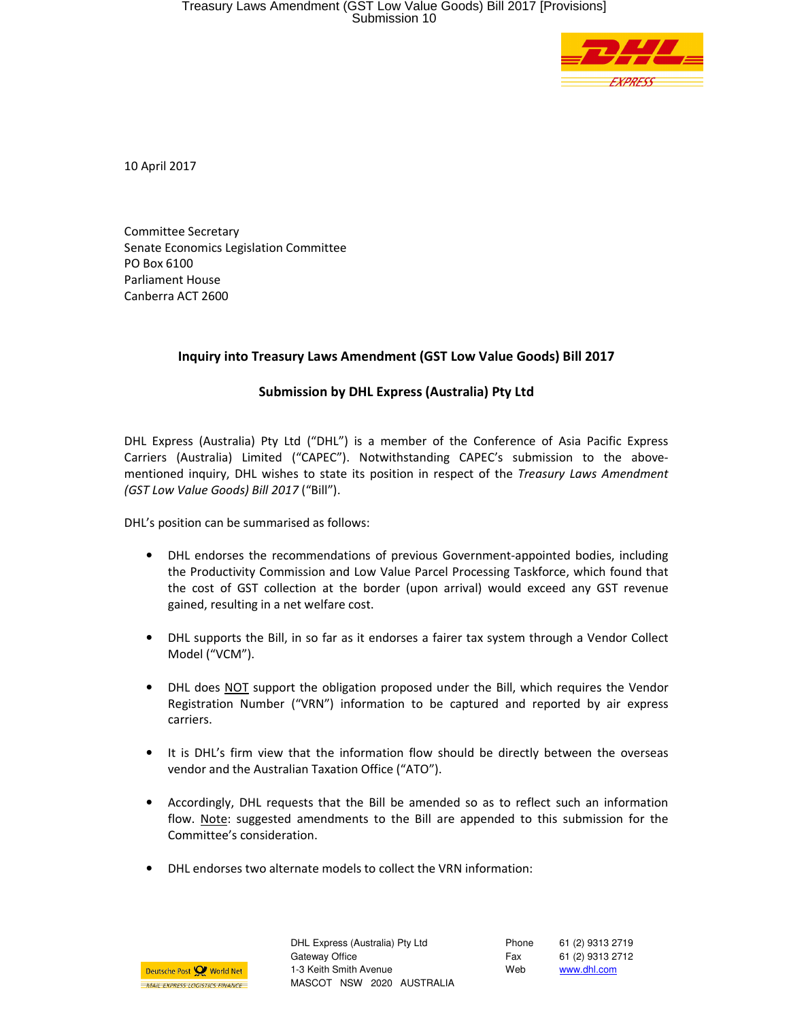

10 April 2017

Committee Secretary Senate Economics Legislation Committee PO Box 6100 Parliament House Canberra ACT 2600

## Inquiry into Treasury Laws Amendment (GST Low Value Goods) Bill 2017

## Submission by DHL Express (Australia) Pty Ltd

DHL Express (Australia) Pty Ltd ("DHL") is a member of the Conference of Asia Pacific Express Carriers (Australia) Limited ("CAPEC"). Notwithstanding CAPEC's submission to the abovementioned inquiry, DHL wishes to state its position in respect of the Treasury Laws Amendment (GST Low Value Goods) Bill 2017 ("Bill").

DHL's position can be summarised as follows:

- DHL endorses the recommendations of previous Government-appointed bodies, including the Productivity Commission and Low Value Parcel Processing Taskforce, which found that the cost of GST collection at the border (upon arrival) would exceed any GST revenue gained, resulting in a net welfare cost.
- DHL supports the Bill, in so far as it endorses a fairer tax system through a Vendor Collect Model ("VCM").
- DHL does NOT support the obligation proposed under the Bill, which requires the Vendor Registration Number ("VRN") information to be captured and reported by air express carriers.
- It is DHL's firm view that the information flow should be directly between the overseas vendor and the Australian Taxation Office ("ATO").
- Accordingly, DHL requests that the Bill be amended so as to reflect such an information flow. Note: suggested amendments to the Bill are appended to this submission for the Committee's consideration.
- DHL endorses two alternate models to collect the VRN information:



DHL Express (Australia) Pty Ltd Gateway Office 1-3 Keith Smith Avenue MASCOT NSW 2020 AUSTRALIA Phone Fax Web 61 (2) 9313 2719 61 (2) 9313 2712 www.dhl.com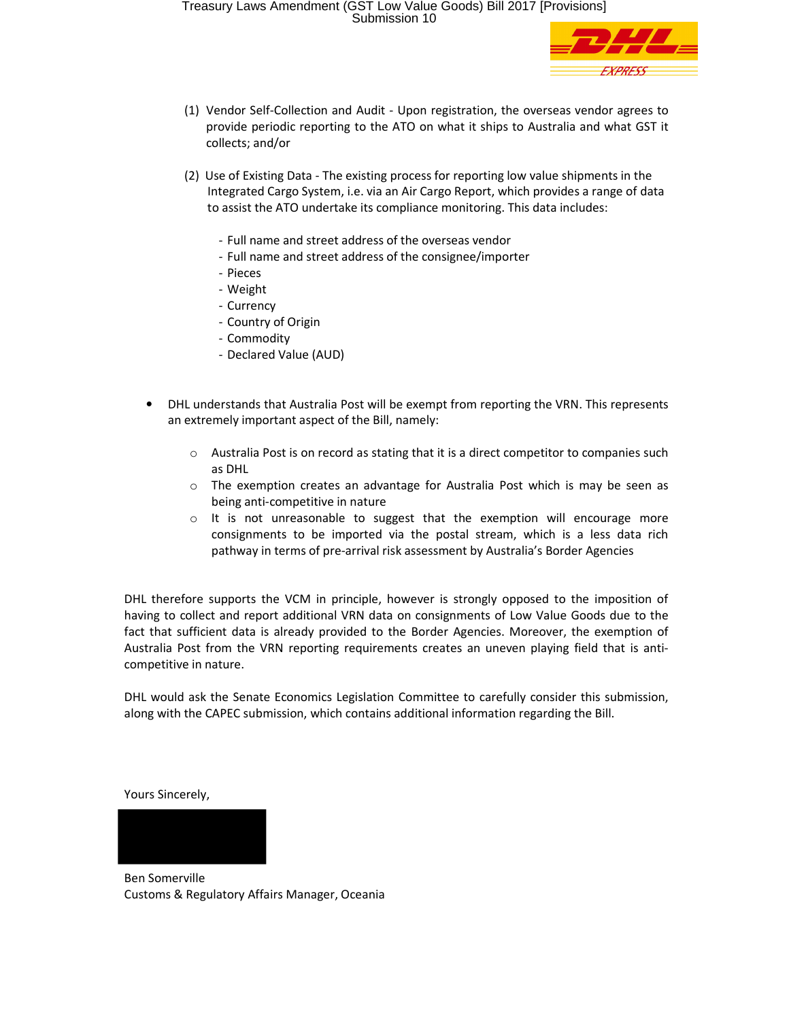

- (1) Vendor Self-Collection and Audit Upon registration, the overseas vendor agrees to provide periodic reporting to the ATO on what it ships to Australia and what GST it collects; and/or
- (2) Use of Existing Data The existing process for reporting low value shipments in the Integrated Cargo System, i.e. via an Air Cargo Report, which provides a range of data to assist the ATO undertake its compliance monitoring. This data includes:
	- Full name and street address of the overseas vendor
	- Full name and street address of the consignee/importer
	- Pieces
	- Weight
	- Currency
	- Country of Origin
	- Commodity
	- Declared Value (AUD)
- DHL understands that Australia Post will be exempt from reporting the VRN. This represents an extremely important aspect of the Bill, namely:
	- o Australia Post is on record as stating that it is a direct competitor to companies such as DHL
	- $\circ$  The exemption creates an advantage for Australia Post which is may be seen as being anti-competitive in nature
	- $\circ$  It is not unreasonable to suggest that the exemption will encourage more consignments to be imported via the postal stream, which is a less data rich pathway in terms of pre-arrival risk assessment by Australia's Border Agencies

DHL therefore supports the VCM in principle, however is strongly opposed to the imposition of having to collect and report additional VRN data on consignments of Low Value Goods due to the fact that sufficient data is already provided to the Border Agencies. Moreover, the exemption of Australia Post from the VRN reporting requirements creates an uneven playing field that is anticompetitive in nature.

DHL would ask the Senate Economics Legislation Committee to carefully consider this submission, along with the CAPEC submission, which contains additional information regarding the Bill.

Yours Sincerely,



Ben Somerville Customs & Regulatory Affairs Manager, Oceania